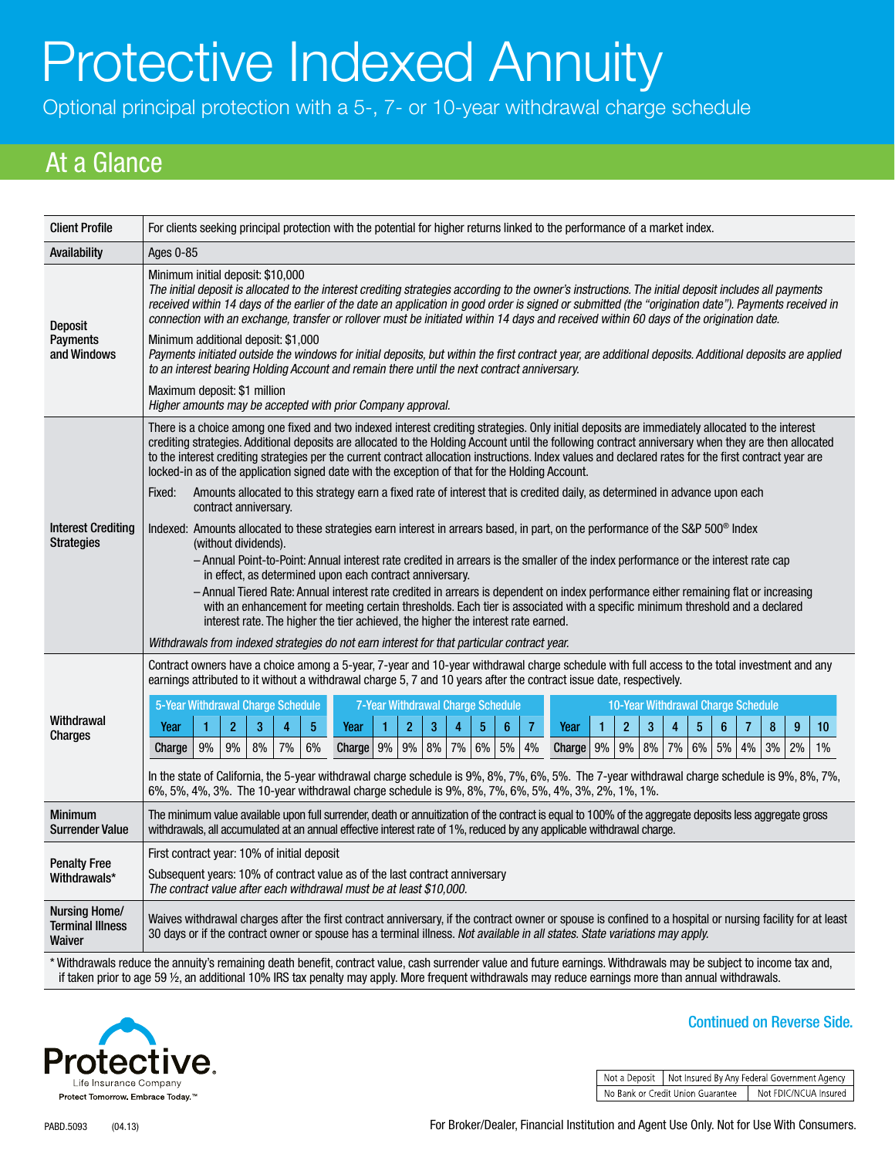# Protective Indexed Annuity

Optional principal protection with a 5-, 7- or 10-year withdrawal charge schedule

## At a Glance

| <b>Client Profile</b>                                                                                                                                               | For clients seeking principal protection with the potential for higher returns linked to the performance of a market index.                                                                                                                                                                                                                                                                                                                                                                                                                                                                                                                                                                                                                                                                                                                                                                                                                                                                                                                                                                                                                                                                                                                                                                                                                                                                                                                                                                                                                                                   |  |
|---------------------------------------------------------------------------------------------------------------------------------------------------------------------|-------------------------------------------------------------------------------------------------------------------------------------------------------------------------------------------------------------------------------------------------------------------------------------------------------------------------------------------------------------------------------------------------------------------------------------------------------------------------------------------------------------------------------------------------------------------------------------------------------------------------------------------------------------------------------------------------------------------------------------------------------------------------------------------------------------------------------------------------------------------------------------------------------------------------------------------------------------------------------------------------------------------------------------------------------------------------------------------------------------------------------------------------------------------------------------------------------------------------------------------------------------------------------------------------------------------------------------------------------------------------------------------------------------------------------------------------------------------------------------------------------------------------------------------------------------------------------|--|
| Availability                                                                                                                                                        | Ages 0-85                                                                                                                                                                                                                                                                                                                                                                                                                                                                                                                                                                                                                                                                                                                                                                                                                                                                                                                                                                                                                                                                                                                                                                                                                                                                                                                                                                                                                                                                                                                                                                     |  |
| <b>Deposit</b><br><b>Payments</b><br>and Windows                                                                                                                    | Minimum initial deposit: \$10,000<br>The initial deposit is allocated to the interest crediting strategies according to the owner's instructions. The initial deposit includes all payments<br>received within 14 days of the earlier of the date an application in good order is signed or submitted (the "origination date"). Payments received in<br>connection with an exchange, transfer or rollover must be initiated within 14 days and received within 60 days of the origination date.<br>Minimum additional deposit: \$1,000<br>Payments initiated outside the windows for initial deposits, but within the first contract year, are additional deposits. Additional deposits are applied<br>to an interest bearing Holding Account and remain there until the next contract anniversary.<br>Maximum deposit: \$1 million<br>Higher amounts may be accepted with prior Company approval.                                                                                                                                                                                                                                                                                                                                                                                                                                                                                                                                                                                                                                                                            |  |
| <b>Interest Crediting</b><br><b>Strategies</b>                                                                                                                      | There is a choice among one fixed and two indexed interest crediting strategies. Only initial deposits are immediately allocated to the interest<br>crediting strategies. Additional deposits are allocated to the Holding Account until the following contract anniversary when they are then allocated<br>to the interest crediting strategies per the current contract allocation instructions. Index values and declared rates for the first contract year are<br>locked-in as of the application signed date with the exception of that for the Holding Account.<br>Amounts allocated to this strategy earn a fixed rate of interest that is credited daily, as determined in advance upon each<br>Fixed:<br>contract anniversary.<br>Indexed: Amounts allocated to these strategies earn interest in arrears based, in part, on the performance of the S&P 500 <sup>®</sup> Index<br>(without dividends).<br>- Annual Point-to-Point: Annual interest rate credited in arrears is the smaller of the index performance or the interest rate cap<br>in effect, as determined upon each contract anniversary.<br>– Annual Tiered Rate: Annual interest rate credited in arrears is dependent on index performance either remaining flat or increasing<br>with an enhancement for meeting certain thresholds. Each tier is associated with a specific minimum threshold and a declared<br>interest rate. The higher the tier achieved, the higher the interest rate earned.<br>Withdrawals from indexed strategies do not earn interest for that particular contract year. |  |
| Withdrawal<br>Charges                                                                                                                                               | Contract owners have a choice among a 5-year, 7-year and 10-year withdrawal charge schedule with full access to the total investment and any<br>earnings attributed to it without a withdrawal charge 5, 7 and 10 years after the contract issue date, respectively.<br>5-Year Withdrawal Charge Schedule<br>7-Year Withdrawal Charge Schedule<br>10-Year Withdrawal Charge Schedule<br>$\overline{2}$<br>3<br>$\overline{5}$<br>$\overline{2}$<br>$\overline{3}$<br>$\overline{4}$<br>$\overline{5}$<br>$6\phantom{a}$<br>$\overline{7}$<br>$\overline{2}$<br>$\overline{3}$<br>$\overline{\mathbf{4}}$<br>$\overline{5}$<br>$\bf 6$<br>$\bf 8$<br>$\boldsymbol{9}$<br>$\overline{4}$<br>$\mathbf{1}$<br>$\overline{7}$<br>10<br>Year<br>$\mathbf{1}$<br>Year<br>Year<br>1<br>7%<br>Charge $9%$<br>$9\%$ 8%<br>$7\%$ 6%<br>8%<br>$6\%$<br>3%<br>9%<br>9%<br>8%<br>7%<br>6%<br>$5\%$ 4%<br>$9\%$<br>$9\%$<br>5%<br>4%<br>2%<br>Charge<br>$1\%$<br>Charge<br>In the state of California, the 5-year withdrawal charge schedule is 9%, 8%, 7%, 6%, 5%. The 7-year withdrawal charge schedule is 9%, 8%, 7%,<br>6%, 5%, 4%, 3%. The 10-year withdrawal charge schedule is 9%, 8%, 7%, 6%, 5%, 4%, 3%, 2%, 1%, 1%.                                                                                                                                                                                                                                                                                                                                                                |  |
| <b>Minimum</b><br><b>Surrender Value</b>                                                                                                                            | The minimum value available upon full surrender, death or annuitization of the contract is equal to 100% of the aggregate deposits less aggregate gross<br>withdrawals, all accumulated at an annual effective interest rate of 1%, reduced by any applicable withdrawal charge.                                                                                                                                                                                                                                                                                                                                                                                                                                                                                                                                                                                                                                                                                                                                                                                                                                                                                                                                                                                                                                                                                                                                                                                                                                                                                              |  |
| <b>Penalty Free</b><br>Withdrawals*                                                                                                                                 | First contract year: 10% of initial deposit<br>Subsequent years: 10% of contract value as of the last contract anniversary<br>The contract value after each withdrawal must be at least \$10,000.                                                                                                                                                                                                                                                                                                                                                                                                                                                                                                                                                                                                                                                                                                                                                                                                                                                                                                                                                                                                                                                                                                                                                                                                                                                                                                                                                                             |  |
| Nursing Home/<br><b>Terminal Illness</b><br>Waiver                                                                                                                  | Waives withdrawal charges after the first contract anniversary, if the contract owner or spouse is confined to a hospital or nursing facility for at least<br>30 days or if the contract owner or spouse has a terminal illness. Not available in all states. State variations may apply.                                                                                                                                                                                                                                                                                                                                                                                                                                                                                                                                                                                                                                                                                                                                                                                                                                                                                                                                                                                                                                                                                                                                                                                                                                                                                     |  |
| * Withdrawals reduce the annuity's remaining death benefit, contract value, cash surrender value and future earnings. Withdrawals may be subject to income tax and, |                                                                                                                                                                                                                                                                                                                                                                                                                                                                                                                                                                                                                                                                                                                                                                                                                                                                                                                                                                                                                                                                                                                                                                                                                                                                                                                                                                                                                                                                                                                                                                               |  |

if taken prior to age 59 ½, an additional 10% IRS tax penalty may apply. More frequent withdrawals may reduce earnings more than annual withdrawals.



Continued on Reverse Side.

Not a Deposit | Not Insured By Any Federal Government Agency No Bank or Credit Union Guarantee | Not FDIC/NCUA Insured